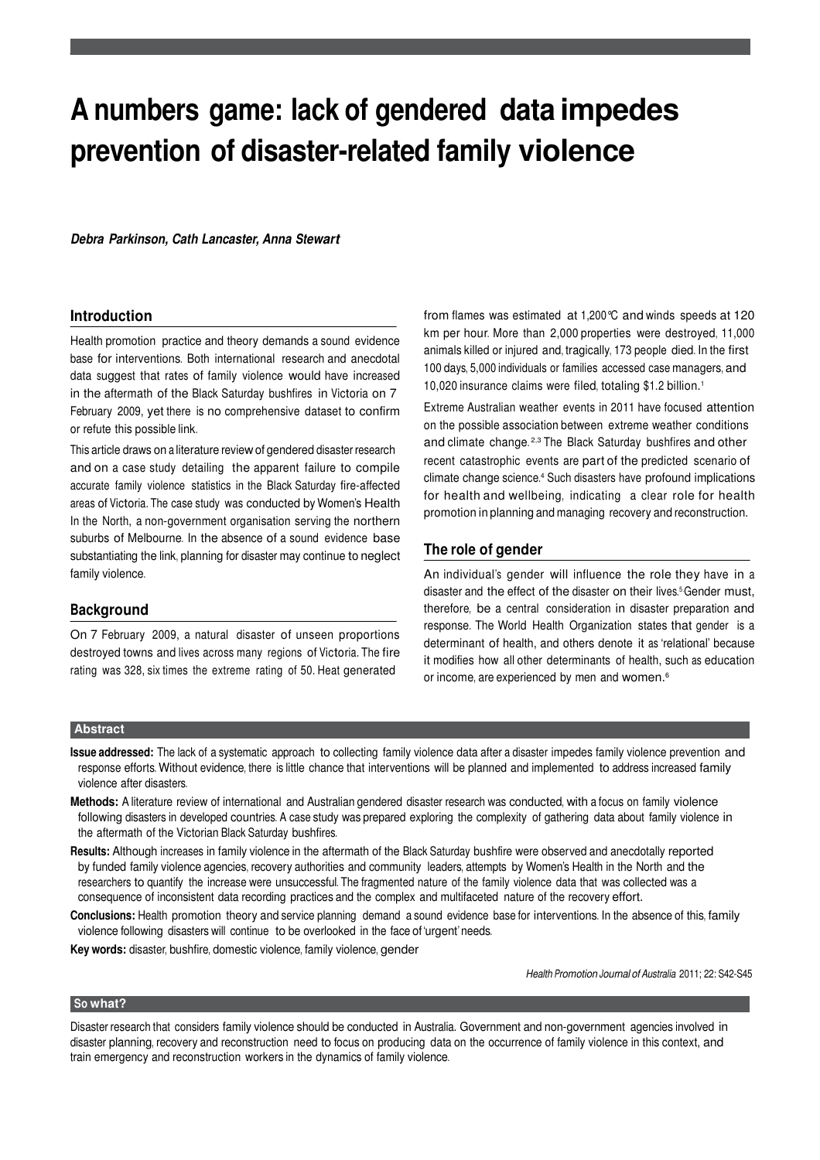# **A numbers game: lack of gendered data impedes prevention of disaster-related family violence**

**Debra Parkinson, Cath Lancaster, Anna Stewart**

# **Introduction**

Health promotion practice and theory demands a sound evidence base for interventions. Both international research and anecdotal data suggest that rates of family violence would have increased in the aftermath of the Black Saturday bushfires in Victoria on 7 February 2009, yet there is no comprehensive dataset to confirm or refute this possible link.

This article draws on a literature review of gendered disaster research and on a case study detailing the apparent failure to compile accurate family violence statistics in the Black Saturday fire-affected areas of Victoria. The case study was conducted by Women's Health In the North, a non-government organisation serving the northern suburbs of Melbourne. In the absence of a sound evidence base substantiating the link, planning for disaster may continue to neglect family violence.

## **Background**

On 7 February 2009, a natural disaster of unseen proportions destroyed towns and lives across many regions of Victoria. The fire rating was 328, six times the extreme rating of 50. Heat generated

from flames was estimated at 1,200°C and winds speeds at 120 km per hour. More than 2,000 properties were destroyed, 11,000 animals killed or injured and, tragically, 173 people died. In the first 100 days, 5,000 individuals or families accessed case managers, and 10,020 insurance claims were filed, totaling \$1.2 billion.<sup>1</sup>

Extreme Australian weather events in 2011 have focused attention on the possible association between extreme weather conditions and climate change.<sup>2,3</sup> The Black Saturday bushfires and other recent catastrophic events are part of the predicted scenario of climate change science. <sup>4</sup> Such disasters have profound implications for health and wellbeing, indicating a clear role for health promotion in planning and managing recovery and reconstruction.

# **The role of gender**

An individual's gender will influence the role they have in a disaster and the effect of the disaster on their lives. 5.Gender must, therefore, be a central consideration in disaster preparation and response. The World Health Organization states that gender is a determinant of health, and others denote it as 'relational' because it modifies how all other determinants of health, such as education or income, are experienced by men and women.<sup>6</sup>

## **Abstract**

- **Issue addressed:** The lack of a systematic approach to collecting family violence data after a disaster impedes family violence prevention and response efforts. Without evidence, there is little chance that interventions will be planned and implemented to address increased family violence after disasters.
- **Methods:** A literature review of international and Australian gendered disaster research was conducted, with a focus on family violence following disasters in developed countries. A case study was prepared exploring the complexity of gathering data about family violence in the aftermath of the Victorian Black Saturday bushfires.
- **Results:** Although increases in family violence in the aftermath of the Black Saturday bushfire were observed and anecdotally reported by funded family violence agencies, recovery authorities and community leaders, attempts by Women's Health in the North and the researchers to quantify the increase were unsuccessful. The fragmented nature of the family violence data that was collected was a consequence of inconsistent data recording practices and the complex and multifaceted nature of the recovery effort.
- **Conclusions:** Health promotion theory and service planning demand a sound evidence base for interventions. In the absence of this, family violence following disasters will continue to be overlooked in the face of'urgent'needs.

**Key words:** disaster, bushfire, domestic violence, family violence, gender

Health Promotion Journal of Australia 2011; 22: S42-S45

#### **So what?**

Disaster research that considers family violence should be conducted in Australia. Government and non-government agencies involved in disaster planning, recovery and reconstruction need to focus on producing data on the occurrence of family violence in this context, and train emergency and reconstruction workers in the dynamics of family violence.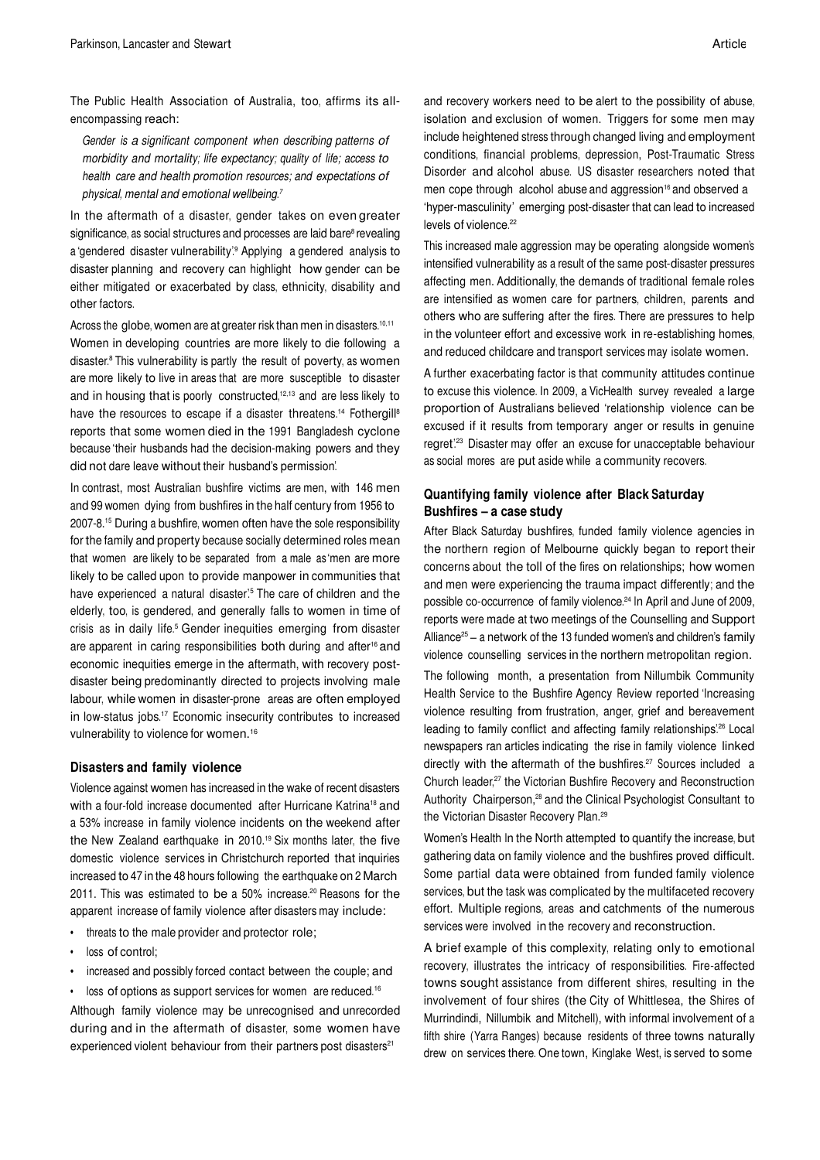The Public Health Association of Australia, too, affirms its allencompassing reach:

Gender is a significant component when describing patterns of morbidity and mortality; life expectancy; quality of life; access to health care and health promotion resources; and expectations of physical, mental and emotional wellbeing. 7

In the aftermath of a disaster, gender takes on even greater significance, as social structures and processes are laid bare<sup>s</sup> revealing a 'gendered disaster vulnerability'.<sup>9</sup> Applying a gendered analysis to disaster planning and recovery can highlight how gender can be either mitigated or exacerbated by class, ethnicity, disability and other factors.

Across the globe, women are at greater risk than men in disasters.<sup>10,11</sup> Women in developing countries are more likely to die following a disaster. <sup>8</sup> This vulnerability is partly the result of poverty, as women are more likely to live in areas that are more susceptible to disaster and in housing that is poorly constructed, 12,13 and are less likely to have the resources to escape if a disaster threatens.<sup>14</sup> Fothergill<sup>8</sup> reports that some women died in the 1991 Bangladesh cyclone because 'their husbands had the decision-making powers and they did not dare leave without their husband's permission'.

In contrast, most Australian bushfire victims are men, with 146 men and 99 women dying from bushfires in the half century from 1956 to 2007-8.<sup>15</sup> During a bushfire, women often have the sole responsibility for the family and property because socially determined roles mean that women are likely to be separated from a male as 'men are more likely to be called upon to provide manpower in communities that have experienced a natural disaster'<sup>5</sup> The care of children and the elderly, too, is gendered, and generally falls to women in time of crisis as in daily life. <sup>5</sup> Gender inequities emerging from disaster are apparent in caring responsibilities both during and after<sup>16</sup> and economic inequities emerge in the aftermath, with recovery postdisaster being predominantly directed to projects involving male labour, while women in disaster-prone areas are often employed in low-status jobs.<sup>17</sup> Economic insecurity contributes to increased vulnerability to violence for women.<sup>16</sup>

## **Disasters and family violence**

Violence against women has increased in the wake of recent disasters with a four-fold increase documented after Hurricane Katrina<sup>18</sup> and a 53% increase in family violence incidents on the weekend after the New Zealand earthquake in 2010.19 Six months later, the five domestic violence services in Christchurch reported that inquiries increased to 47 in the 48 hours following the earthquake on 2 March 2011. This was estimated to be a 50% increase.<sup>20</sup> Reasons for the apparent increase of family violence after disasters may include:

- threats to the male provider and protector role;
- loss of control:
- increased and possibly forced contact between the couple; and
- loss of options as support services for women are reduced.<sup>16</sup>

Although family violence may be unrecognised and unrecorded during and in the aftermath of disaster, some women have experienced violent behaviour from their partners post disasters<sup>21</sup>

and recovery workers need to be alert to the possibility of abuse, isolation and exclusion of women. Triggers for some men may include heightened stress through changed living and employment conditions, financial problems, depression, Post-Traumatic Stress Disorder and alcohol abuse. US disaster researchers noted that men cope through alcohol abuse and aggression<sup>16</sup> and observed a 'hyper-masculinity' emerging post-disaster that can lead to increased levels of violence. 22

This increased male aggression may be operating alongside women's intensified vulnerability as a result of the same post-disaster pressures affecting men. Additionally, the demands of traditional female roles are intensified as women care for partners, children, parents and others who are suffering after the fires. There are pressures to help in the volunteer effort and excessive work in re-establishing homes, and reduced childcare and transport services may isolate women.

A further exacerbating factor is that community attitudes continue to excuse this violence. In 2009, a VicHealth survey revealed a large proportion of Australians believed 'relationship violence can be excused if it results from temporary anger or results in genuine regret<sup>'23</sup> Disaster may offer an excuse for unacceptable behaviour as social mores are put aside while a community recovers.

# **Quantifying family violence after Black Saturday Bushfires – a case study**

After Black Saturday bushfires, funded family violence agencies in the northern region of Melbourne quickly began to report their concerns about the toll of the fires on relationships; how women and men were experiencing the trauma impact differently; and the possible co-occurrence of family violence. <sup>24</sup> In April and June of 2009, reports were made at two meetings of the Counselling and Support Alliance<sup>25</sup>− a network of the 13 funded women's and children's family violence counselling services in the northern metropolitan region.

The following month, a presentation from Nillumbik Community Health Service to the Bushfire Agency Review reported 'Increasing violence resulting from frustration, anger, grief and bereavement leading to family conflict and affecting family relationships<sup>26</sup> Local newspapers ran articles indicating the rise in family violence linked directly with the aftermath of the bushfires.<sup>27</sup> Sources included a Church leader, <sup>27</sup> the Victorian Bushfire Recovery and Reconstruction Authority Chairperson,<sup>28</sup> and the Clinical Psychologist Consultant to the Victorian Disaster Recovery Plan.<sup>29</sup>

Women's Health In the North attempted to quantify the increase, but gathering data on family violence and the bushfires proved difficult. Some partial data were obtained from funded family violence services, but the task was complicated by the multifaceted recovery effort. Multiple regions, areas and catchments of the numerous services were involved in the recovery and reconstruction.

A brief example of this complexity, relating only to emotional recovery, illustrates the intricacy of responsibilities. Fire-affected towns sought assistance from different shires, resulting in the involvement of four shires (the City of Whittlesea, the Shires of Murrindindi, Nillumbik and Mitchell), with informal involvement of a fifth shire (Yarra Ranges) because residents of three towns naturally drew on services there. One town, Kinglake West, is served to some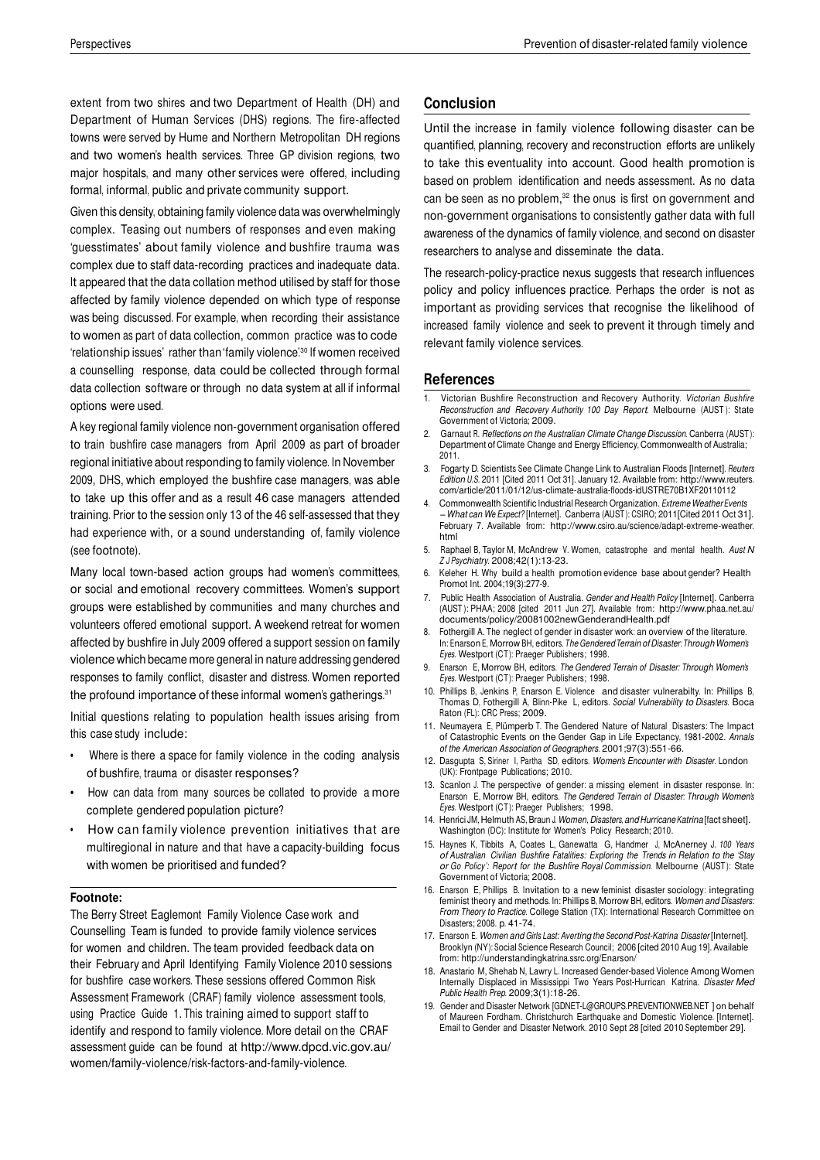extent from two shires and two Department of Health (DH) and Department of Human Services (DHS) regions. The fire-affected towns were served by Hume and Northern Metropolitan DH regions and two women's health services. Three GP division regions, two major hospitals, and many other services were offered, including formal, informal, public and private community support.

Given this density, obtaining family violence data was overwhelmingly complex. Teasing out numbers of responses and even making 'guesstimates' about family violence and bushfire trauma was complex due to staff data-recording practices and inadequate data. It appeared that the data collation method utilised by staff for those affected by family violence depended on which type of response was being discussed. For example, when recording their assistance to women as part of data collection, common practice was to code 'relationship issues' rather than 'family violence'.<sup>30</sup> If women received a counselling response, data could be collected through formal data collection software or through no data system at all if informal options were used.

A key regional family violence non-government organisation offered to train bushfire case managers from April 2009 as part of broader regional initiative about responding to family violence. In November 2009, DHS, which employed the bushfire case managers, was able to take up this offer and as a result 46 case managers attended training. Prior to the session only 13 of the 46 self-assessed that they had experience with, or a sound understanding of, family violence (see footnote).

Many local town-based action groups had women's committees, or social and emotional recovery committees. Women's support groups were established by communities and many churches and volunteers offered emotional support. A weekend retreat for women affected by bushfire in July 2009 offered a support session on family violence which became more general in nature addressing gendered responses to family conflict, disaster and distress. Women reported the profound importance of these informal women's gatherings.<sup>31</sup>

Initial questions relating to population health issues arising from this case study include:

- Where is there a space for family violence in the coding analysis of bushfire, trauma or disaster responses?
- How can data from many sources be collated to provide a more complete gendered population picture?
- How can family violence prevention initiatives that are multiregional in nature and that have a capacity-building focus with women be prioritised and funded?

## **Footnote:**

The Berry Street Eaglemont Family Violence Case work and Counselling Team is funded to provide family violence services for women and children. The team provided feedback data on their February and April Identifying Family Violence 2010 sessions for bushfire case workers. These sessions offered Common Risk Assessment Framework (CRAF) family violence assessment tools, using Practice Guide 1. This training aimed to support staff to identify and respond to family violence. More detail on the CRAF assessment guide can be found at http://www.dpcd.vic.gov.au/ women/family-violence/risk-factors-and-family-violence.

# **Conclusion**

Until the increase in family violence following disaster can be quantified, planning, recovery and reconstruction efforts are unlikely to take this eventuality into account. Good health promotion is based on problem identification and needs assessment. As no data can be seen as no problem,<sup>32</sup> the onus is first on government and non-government organisations to consistently gather data with full awareness of the dynamics of family violence, and second on disaster researchers to analyse and disseminate the data.

The research-policy-practice nexus suggests that research influences policy and policy influences practice. Perhaps the order is not as important as providing services that recognise the likelihood of increased family violence and seek to prevent it through timely and relevant family violence services.

## **References**

- Victorian Bushfire Reconstruction and Recovery Authority. Victorian Bushfire Reconstruction and Recovery Authority 100 Day Report. Melbourne (AUST ): State Government of Victoria; 2009.
- 2. Garnaut R. Reflections on the Australian Climate Change Discussion. Canberra (AUST): Department of Climate Change and Energy Efficiency, Commonwealth of Australia; 2011.
- 3. Fogarty D. Scientists See Climate Change Link to Australian Floods [Internet]. Reuters Edition U.S. 2011 [Cited 2011 Oct 31]. January 12. Available from: http://www.reuters. com/article/2011/01/12/us-climate-australia-floods-idUSTRE70B1XF20110112
- 4. Commonwealth Scientific Industrial Research Organization. Extreme Weather Events − What can We Expect? [Internet]. Canberra (AUST): CSIRO; 2011[Cited 2011 Oct 31]. February 7. Available from: http://www.csiro.au/science/adapt-extreme-weather. html
- 5. Raphael B, Taylor M, McAndrew V. Women, catastrophe and mental health. Aust N Z J Psychiatry. 2008;42(1):13-23.
- 6. Keleher H. Why build a health promotion evidence base about gender? Health Promot Int. 2004;19(3):277-9.
- 7. Public Health Association of Australia. Gender and Health Policy [Internet]. Canberra (AUST ): PHAA; 2008 [cited 2011 Jun 27]. Available from: http://www.phaa.net.au/ documents/policy/20081002newGenderandHealth.pdf
- 8. Fothergill A. The neglect of gender in disaster work: an overview of the literature. In: Enarson E, Morrow BH, editors. The Gendered Terrain of Disaster: Through Women's Eyes. Westport (CT): Praeger Publishers; 1998.
- 9. Enarson E, Morrow BH, editors. The Gendered Terrain of Disaster: Through Women's Eyes. Westport (CT): Praeger Publishers; 1998.
- 10. Phillips B, Jenkins P, Enarson E. Violence and disaster vulnerabilty. In: Phillips B, Thomas D, Fothergill A, Blinn-Pike L, editors. Social Vulnerability to Disasters. Boca Raton (FL): CRC Press; 2009.
- 11. Neumayera E, Plümperb T. The Gendered Nature of Natural Disasters: The Impact of Catastrophic Events on the Gender Gap in Life Expectancy, 1981-2002. Annals of the American Association of Geographers. 2001;97(3):551-66.
- 12. Dasgupta S, Siriner I, Partha SD, editors. Women's Encounter with Disaster. London (UK): Frontpage Publications; 2010.
- 13. Scanlon J. The perspective of gender: a missing element in disaster response. In: Enarson E, Morrow BH, editors. The Gendered Terrain of Disaster: Through Women's Eyes. Westport (CT): Praeger Publishers; 1998.
- 14. Henrici JM, Helmuth AS, Braun J. Women, Disasters, and Hurricane Katrina [fact sheet]. Washington (DC): Institute for Women's Policy Research; 2010.
- 15. Haynes K, Tibbits A, Coates L, Ganewatta G, Handmer J, McAnerney J. 100 Years of Australian Civilian Bushfire Fatalities: Exploring the Trends in Relation to the 'Stay or Go Policy': Report for the Bushfire Royal Commission. Melbourne (AUST): State Government of Victoria; 2008.
- 16. Enarson E, Phillips B. Invitation to a new feminist disaster sociology: integrating feminist theory and methods. In: Phillips B, Morrow BH, editors. Women and Disasters: From Theory to Practice. College Station (TX): International Research Committee on Disasters; 2008. p. 41-74.
- 17. Enarson E. Women and Girls Last: Averting the Second Post-Katrina Disaster [Internet]. Brooklyn (NY): Social Science Research Council; 2006 [cited 2010 Aug 19]. Available from: http://understandingkatrina.ssrc.org/Enarson/
- 18. Anastario M, Shehab N, Lawry L. Increased Gender-based Violence Among Women Internally Displaced in Mississippi Two Years Post-Hurrican Katrina. Disaster Med Public Health Prep. 2009;3(1):18-26.
- 19. Gender and Disaster Network [GDNET-L@GROUPS.PREVENTIONWEB.NET ] on behalf of Maureen Fordham. Christchurch Earthquake and Domestic Violence. [Internet]. Email to Gender and Disaster Network. 2010 Sept 28 [cited 2010 September 29].